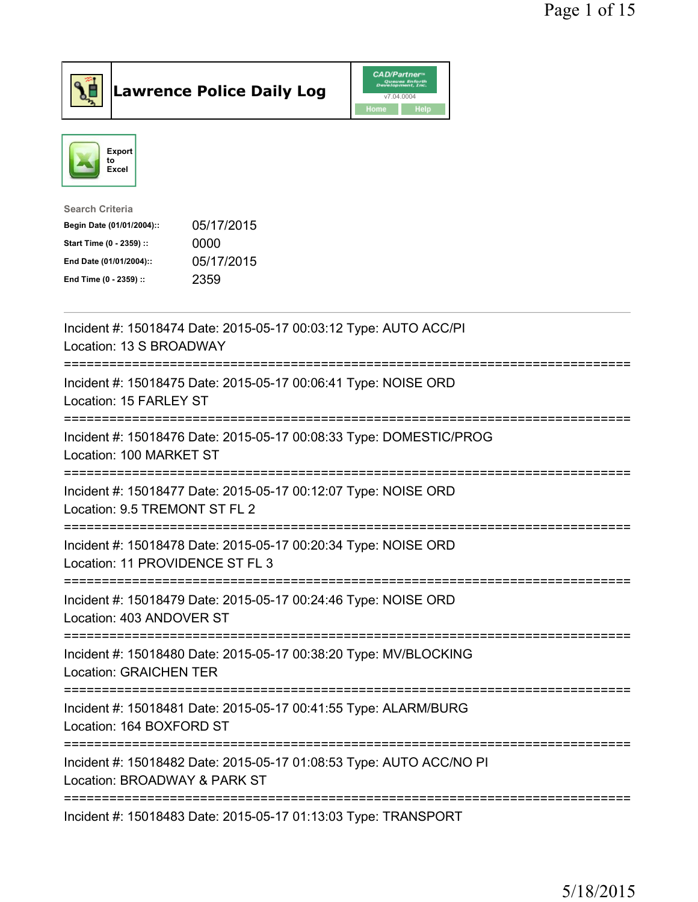



| <b>Search Criteria</b>    |            |
|---------------------------|------------|
| Begin Date (01/01/2004):: | 05/17/2015 |
| Start Time (0 - 2359) ::  | 0000       |
| End Date (01/01/2004)::   | 05/17/2015 |
| End Time (0 - 2359) ::    | 2359       |
|                           |            |

| Incident #: 15018474 Date: 2015-05-17 00:03:12 Type: AUTO ACC/PI<br>Location: 13 S BROADWAY                                     |
|---------------------------------------------------------------------------------------------------------------------------------|
| Incident #: 15018475 Date: 2015-05-17 00:06:41 Type: NOISE ORD<br>Location: 15 FARLEY ST                                        |
| Incident #: 15018476 Date: 2015-05-17 00:08:33 Type: DOMESTIC/PROG<br>Location: 100 MARKET ST<br>----------                     |
| Incident #: 15018477 Date: 2015-05-17 00:12:07 Type: NOISE ORD<br>Location: 9.5 TREMONT ST FL 2                                 |
| Incident #: 15018478 Date: 2015-05-17 00:20:34 Type: NOISE ORD<br>Location: 11 PROVIDENCE ST FL 3                               |
| Incident #: 15018479 Date: 2015-05-17 00:24:46 Type: NOISE ORD<br>Location: 403 ANDOVER ST<br>===============                   |
| Incident #: 15018480 Date: 2015-05-17 00:38:20 Type: MV/BLOCKING<br><b>Location: GRAICHEN TER</b><br>-------------------------- |
| Incident #: 15018481 Date: 2015-05-17 00:41:55 Type: ALARM/BURG<br>Location: 164 BOXFORD ST                                     |
| Incident #: 15018482 Date: 2015-05-17 01:08:53 Type: AUTO ACC/NO PI<br>Location: BROADWAY & PARK ST                             |
| Incident #: 15018483 Date: 2015-05-17 01:13:03 Type: TRANSPORT                                                                  |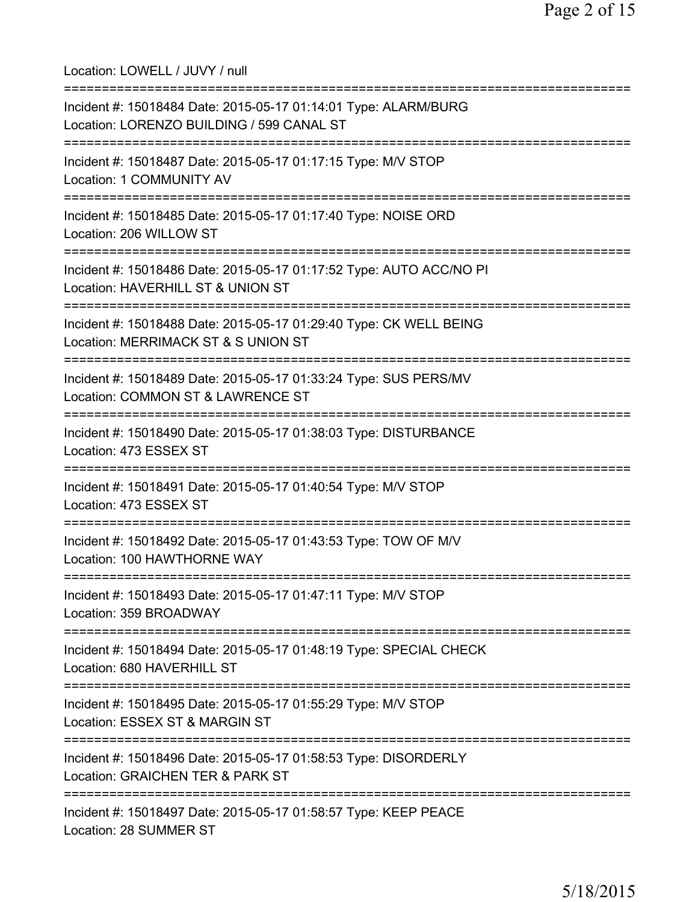Location: LOWELL / JUVY / null =========================================================================== Incident #: 15018484 Date: 2015-05-17 01:14:01 Type: ALARM/BURG Location: LORENZO BUILDING / 599 CANAL ST =========================================================================== Incident #: 15018487 Date: 2015-05-17 01:17:15 Type: M/V STOP Location: 1 COMMUNITY AV =========================================================================== Incident #: 15018485 Date: 2015-05-17 01:17:40 Type: NOISE ORD Location: 206 WILLOW ST =========================================================================== Incident #: 15018486 Date: 2015-05-17 01:17:52 Type: AUTO ACC/NO PI Location: HAVERHILL ST & UNION ST =========================================================================== Incident #: 15018488 Date: 2015-05-17 01:29:40 Type: CK WELL BEING Location: MERRIMACK ST & S UNION ST =========================================================================== Incident #: 15018489 Date: 2015-05-17 01:33:24 Type: SUS PERS/MV Location: COMMON ST & LAWRENCE ST =========================================================================== Incident #: 15018490 Date: 2015-05-17 01:38:03 Type: DISTURBANCE Location: 473 ESSEX ST =========================================================================== Incident #: 15018491 Date: 2015-05-17 01:40:54 Type: M/V STOP Location: 473 ESSEX ST =========================================================================== Incident #: 15018492 Date: 2015-05-17 01:43:53 Type: TOW OF M/V Location: 100 HAWTHORNE WAY =========================================================================== Incident #: 15018493 Date: 2015-05-17 01:47:11 Type: M/V STOP Location: 359 BROADWAY =========================================================================== Incident #: 15018494 Date: 2015-05-17 01:48:19 Type: SPECIAL CHECK Location: 680 HAVERHILL ST =========================================================================== Incident #: 15018495 Date: 2015-05-17 01:55:29 Type: M/V STOP Location: ESSEX ST & MARGIN ST =========================================================================== Incident #: 15018496 Date: 2015-05-17 01:58:53 Type: DISORDERLY Location: GRAICHEN TER & PARK ST =========================================================================== Incident #: 15018497 Date: 2015-05-17 01:58:57 Type: KEEP PEACE Location: 28 SUMMER ST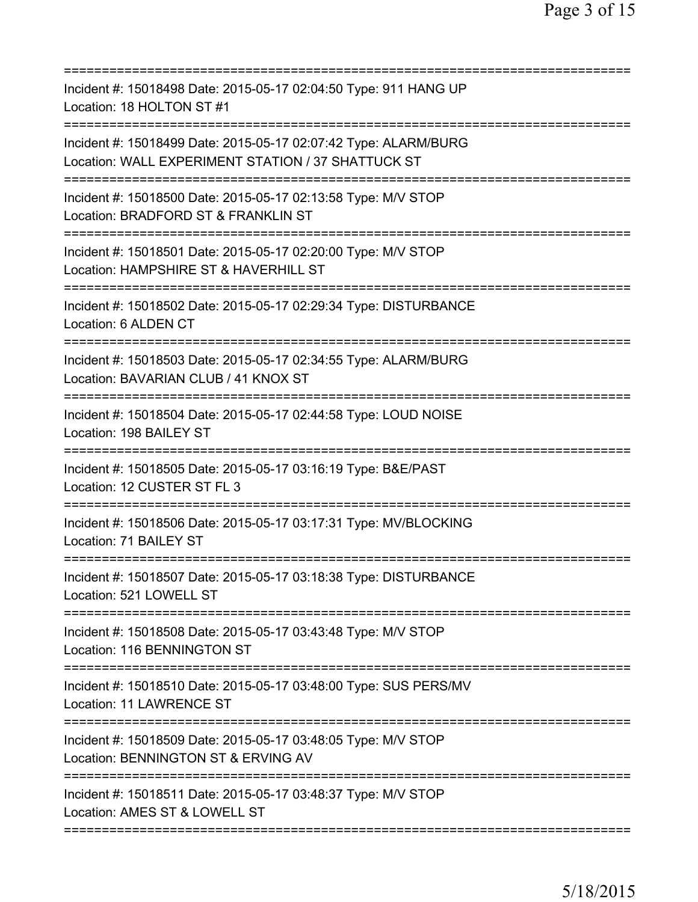| Incident #: 15018498 Date: 2015-05-17 02:04:50 Type: 911 HANG UP<br>Location: 18 HOLTON ST #1                                                    |
|--------------------------------------------------------------------------------------------------------------------------------------------------|
| Incident #: 15018499 Date: 2015-05-17 02:07:42 Type: ALARM/BURG<br>Location: WALL EXPERIMENT STATION / 37 SHATTUCK ST<br>======================= |
| Incident #: 15018500 Date: 2015-05-17 02:13:58 Type: M/V STOP<br>Location: BRADFORD ST & FRANKLIN ST                                             |
| Incident #: 15018501 Date: 2015-05-17 02:20:00 Type: M/V STOP<br>Location: HAMPSHIRE ST & HAVERHILL ST                                           |
| Incident #: 15018502 Date: 2015-05-17 02:29:34 Type: DISTURBANCE<br>Location: 6 ALDEN CT                                                         |
| Incident #: 15018503 Date: 2015-05-17 02:34:55 Type: ALARM/BURG<br>Location: BAVARIAN CLUB / 41 KNOX ST                                          |
| Incident #: 15018504 Date: 2015-05-17 02:44:58 Type: LOUD NOISE<br>Location: 198 BAILEY ST                                                       |
| Incident #: 15018505 Date: 2015-05-17 03:16:19 Type: B&E/PAST<br>Location: 12 CUSTER ST FL 3<br>=============                                    |
| Incident #: 15018506 Date: 2015-05-17 03:17:31 Type: MV/BLOCKING<br>Location: 71 BAILEY ST                                                       |
| Incident #: 15018507 Date: 2015-05-17 03:18:38 Type: DISTURBANCE<br>Location: 521 LOWELL ST                                                      |
| Incident #: 15018508 Date: 2015-05-17 03:43:48 Type: M/V STOP<br>Location: 116 BENNINGTON ST                                                     |
| Incident #: 15018510 Date: 2015-05-17 03:48:00 Type: SUS PERS/MV<br>Location: 11 LAWRENCE ST                                                     |
| Incident #: 15018509 Date: 2015-05-17 03:48:05 Type: M/V STOP<br>Location: BENNINGTON ST & ERVING AV                                             |
| Incident #: 15018511 Date: 2015-05-17 03:48:37 Type: M/V STOP<br>Location: AMES ST & LOWELL ST                                                   |
|                                                                                                                                                  |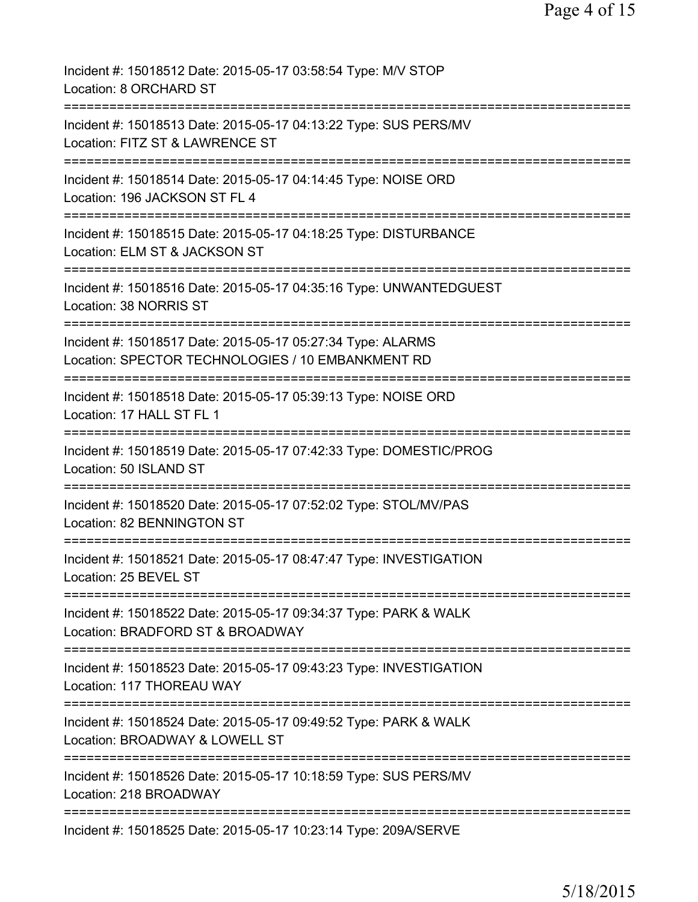| Incident #: 15018512 Date: 2015-05-17 03:58:54 Type: M/V STOP<br>Location: 8 ORCHARD ST                                                 |
|-----------------------------------------------------------------------------------------------------------------------------------------|
| Incident #: 15018513 Date: 2015-05-17 04:13:22 Type: SUS PERS/MV<br>Location: FITZ ST & LAWRENCE ST                                     |
| Incident #: 15018514 Date: 2015-05-17 04:14:45 Type: NOISE ORD<br>Location: 196 JACKSON ST FL 4                                         |
| Incident #: 15018515 Date: 2015-05-17 04:18:25 Type: DISTURBANCE<br>Location: ELM ST & JACKSON ST                                       |
| Incident #: 15018516 Date: 2015-05-17 04:35:16 Type: UNWANTEDGUEST<br>Location: 38 NORRIS ST                                            |
| ===================<br>Incident #: 15018517 Date: 2015-05-17 05:27:34 Type: ALARMS<br>Location: SPECTOR TECHNOLOGIES / 10 EMBANKMENT RD |
| Incident #: 15018518 Date: 2015-05-17 05:39:13 Type: NOISE ORD<br>Location: 17 HALL ST FL 1                                             |
| Incident #: 15018519 Date: 2015-05-17 07:42:33 Type: DOMESTIC/PROG<br>Location: 50 ISLAND ST                                            |
| Incident #: 15018520 Date: 2015-05-17 07:52:02 Type: STOL/MV/PAS<br>Location: 82 BENNINGTON ST                                          |
| Incident #: 15018521 Date: 2015-05-17 08:47:47 Type: INVESTIGATION<br>Location: 25 BEVEL ST                                             |
| Incident #: 15018522 Date: 2015-05-17 09:34:37 Type: PARK & WALK<br>Location: BRADFORD ST & BROADWAY                                    |
| Incident #: 15018523 Date: 2015-05-17 09:43:23 Type: INVESTIGATION<br>Location: 117 THOREAU WAY                                         |
| Incident #: 15018524 Date: 2015-05-17 09:49:52 Type: PARK & WALK<br>Location: BROADWAY & LOWELL ST                                      |
| Incident #: 15018526 Date: 2015-05-17 10:18:59 Type: SUS PERS/MV<br>Location: 218 BROADWAY                                              |
| Incident #: 15018525 Date: 2015-05-17 10:23:14 Type: 209A/SERVE                                                                         |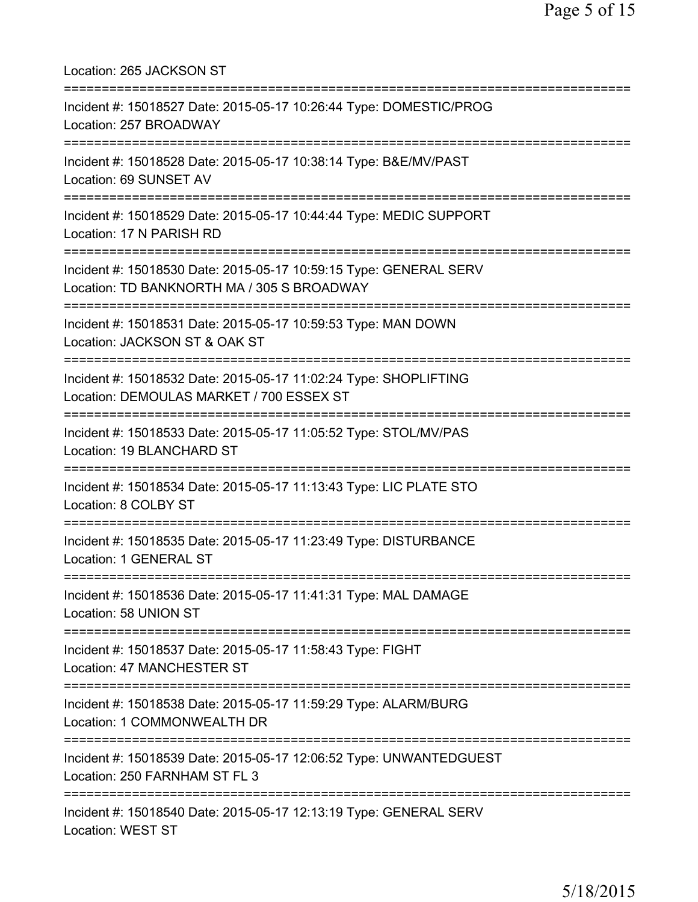| Location: 265 JACKSON ST                                                                                                            |
|-------------------------------------------------------------------------------------------------------------------------------------|
| Incident #: 15018527 Date: 2015-05-17 10:26:44 Type: DOMESTIC/PROG<br>Location: 257 BROADWAY                                        |
| Incident #: 15018528 Date: 2015-05-17 10:38:14 Type: B&E/MV/PAST<br>Location: 69 SUNSET AV<br>.==================================== |
| Incident #: 15018529 Date: 2015-05-17 10:44:44 Type: MEDIC SUPPORT<br>Location: 17 N PARISH RD                                      |
| Incident #: 15018530 Date: 2015-05-17 10:59:15 Type: GENERAL SERV<br>Location: TD BANKNORTH MA / 305 S BROADWAY                     |
| Incident #: 15018531 Date: 2015-05-17 10:59:53 Type: MAN DOWN<br>Location: JACKSON ST & OAK ST                                      |
| Incident #: 15018532 Date: 2015-05-17 11:02:24 Type: SHOPLIFTING<br>Location: DEMOULAS MARKET / 700 ESSEX ST                        |
| Incident #: 15018533 Date: 2015-05-17 11:05:52 Type: STOL/MV/PAS<br>Location: 19 BLANCHARD ST                                       |
| Incident #: 15018534 Date: 2015-05-17 11:13:43 Type: LIC PLATE STO<br>Location: 8 COLBY ST                                          |
| Incident #: 15018535 Date: 2015-05-17 11:23:49 Type: DISTURBANCE<br>Location: 1 GENERAL ST                                          |
| Incident #: 15018536 Date: 2015-05-17 11:41:31 Type: MAL DAMAGE<br>Location: 58 UNION ST                                            |
| Incident #: 15018537 Date: 2015-05-17 11:58:43 Type: FIGHT<br>Location: 47 MANCHESTER ST                                            |
| Incident #: 15018538 Date: 2015-05-17 11:59:29 Type: ALARM/BURG<br>Location: 1 COMMONWEALTH DR                                      |
| Incident #: 15018539 Date: 2015-05-17 12:06:52 Type: UNWANTEDGUEST<br>Location: 250 FARNHAM ST FL 3                                 |
| Incident #: 15018540 Date: 2015-05-17 12:13:19 Type: GENERAL SERV<br>Location: WEST ST                                              |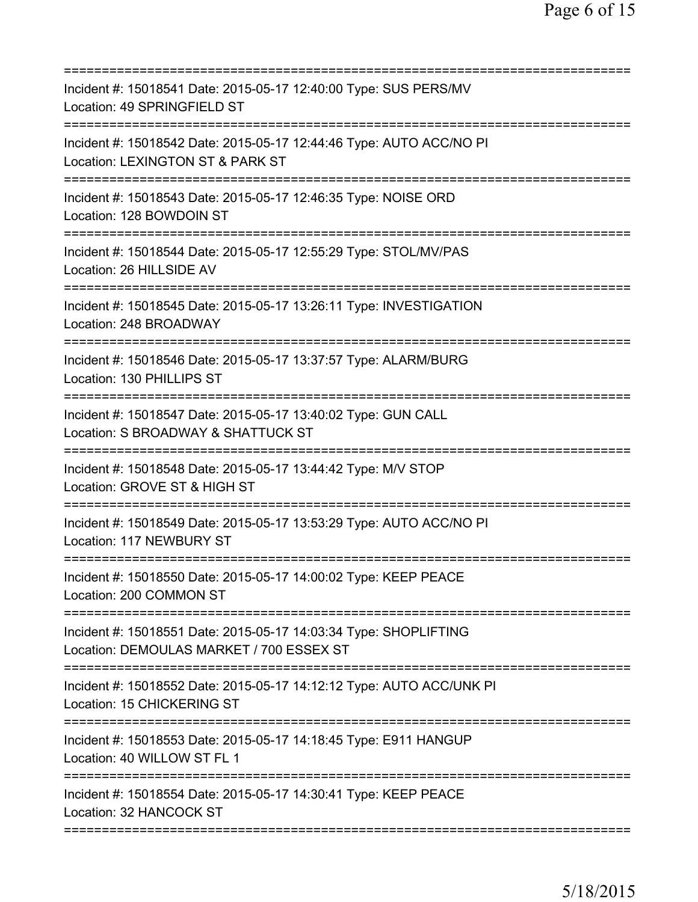| Incident #: 15018541 Date: 2015-05-17 12:40:00 Type: SUS PERS/MV<br>Location: 49 SPRINGFIELD ST                                                |
|------------------------------------------------------------------------------------------------------------------------------------------------|
| Incident #: 15018542 Date: 2015-05-17 12:44:46 Type: AUTO ACC/NO PI<br>Location: LEXINGTON ST & PARK ST                                        |
| Incident #: 15018543 Date: 2015-05-17 12:46:35 Type: NOISE ORD<br>Location: 128 BOWDOIN ST                                                     |
| Incident #: 15018544 Date: 2015-05-17 12:55:29 Type: STOL/MV/PAS<br>Location: 26 HILLSIDE AV                                                   |
| Incident #: 15018545 Date: 2015-05-17 13:26:11 Type: INVESTIGATION<br>Location: 248 BROADWAY                                                   |
| Incident #: 15018546 Date: 2015-05-17 13:37:57 Type: ALARM/BURG<br>Location: 130 PHILLIPS ST                                                   |
| Incident #: 15018547 Date: 2015-05-17 13:40:02 Type: GUN CALL<br>Location: S BROADWAY & SHATTUCK ST                                            |
| Incident #: 15018548 Date: 2015-05-17 13:44:42 Type: M/V STOP<br>Location: GROVE ST & HIGH ST                                                  |
| Incident #: 15018549 Date: 2015-05-17 13:53:29 Type: AUTO ACC/NO PI<br>Location: 117 NEWBURY ST                                                |
| Incident #: 15018550 Date: 2015-05-17 14:00:02 Type: KEEP PEACE<br>Location: 200 COMMON ST                                                     |
| ==============================<br>Incident #: 15018551 Date: 2015-05-17 14:03:34 Type: SHOPLIFTING<br>Location: DEMOULAS MARKET / 700 ESSEX ST |
| Incident #: 15018552 Date: 2015-05-17 14:12:12 Type: AUTO ACC/UNK PI<br>Location: 15 CHICKERING ST                                             |
| Incident #: 15018553 Date: 2015-05-17 14:18:45 Type: E911 HANGUP<br>Location: 40 WILLOW ST FL 1                                                |
| Incident #: 15018554 Date: 2015-05-17 14:30:41 Type: KEEP PEACE<br>Location: 32 HANCOCK ST                                                     |
|                                                                                                                                                |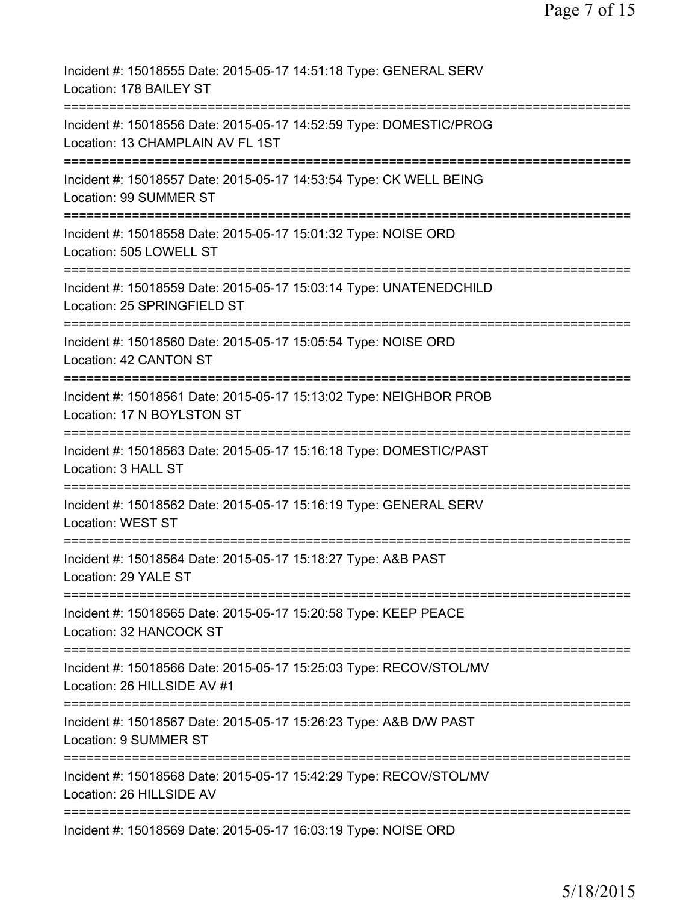| Incident #: 15018555 Date: 2015-05-17 14:51:18 Type: GENERAL SERV<br>Location: 178 BAILEY ST                                                                      |
|-------------------------------------------------------------------------------------------------------------------------------------------------------------------|
| Incident #: 15018556 Date: 2015-05-17 14:52:59 Type: DOMESTIC/PROG<br>Location: 13 CHAMPLAIN AV FL 1ST                                                            |
| Incident #: 15018557 Date: 2015-05-17 14:53:54 Type: CK WELL BEING<br>Location: 99 SUMMER ST                                                                      |
| Incident #: 15018558 Date: 2015-05-17 15:01:32 Type: NOISE ORD<br>Location: 505 LOWELL ST                                                                         |
| Incident #: 15018559 Date: 2015-05-17 15:03:14 Type: UNATENEDCHILD<br>Location: 25 SPRINGFIELD ST                                                                 |
| Incident #: 15018560 Date: 2015-05-17 15:05:54 Type: NOISE ORD<br>Location: 42 CANTON ST                                                                          |
| Incident #: 15018561 Date: 2015-05-17 15:13:02 Type: NEIGHBOR PROB<br>Location: 17 N BOYLSTON ST                                                                  |
| Incident #: 15018563 Date: 2015-05-17 15:16:18 Type: DOMESTIC/PAST<br>Location: 3 HALL ST                                                                         |
| Incident #: 15018562 Date: 2015-05-17 15:16:19 Type: GENERAL SERV<br>Location: WEST ST                                                                            |
| :==============<br>Incident #: 15018564 Date: 2015-05-17 15:18:27 Type: A&B PAST<br>Location: 29 YALE ST                                                          |
| =================================<br>==============================<br>Incident #: 15018565 Date: 2015-05-17 15:20:58 Type: KEEP PEACE<br>Location: 32 HANCOCK ST |
| Incident #: 15018566 Date: 2015-05-17 15:25:03 Type: RECOV/STOL/MV<br>Location: 26 HILLSIDE AV #1                                                                 |
| Incident #: 15018567 Date: 2015-05-17 15:26:23 Type: A&B D/W PAST<br>Location: 9 SUMMER ST                                                                        |
| Incident #: 15018568 Date: 2015-05-17 15:42:29 Type: RECOV/STOL/MV<br>Location: 26 HILLSIDE AV                                                                    |
| Incident #: 15018569 Date: 2015-05-17 16:03:19 Type: NOISE ORD                                                                                                    |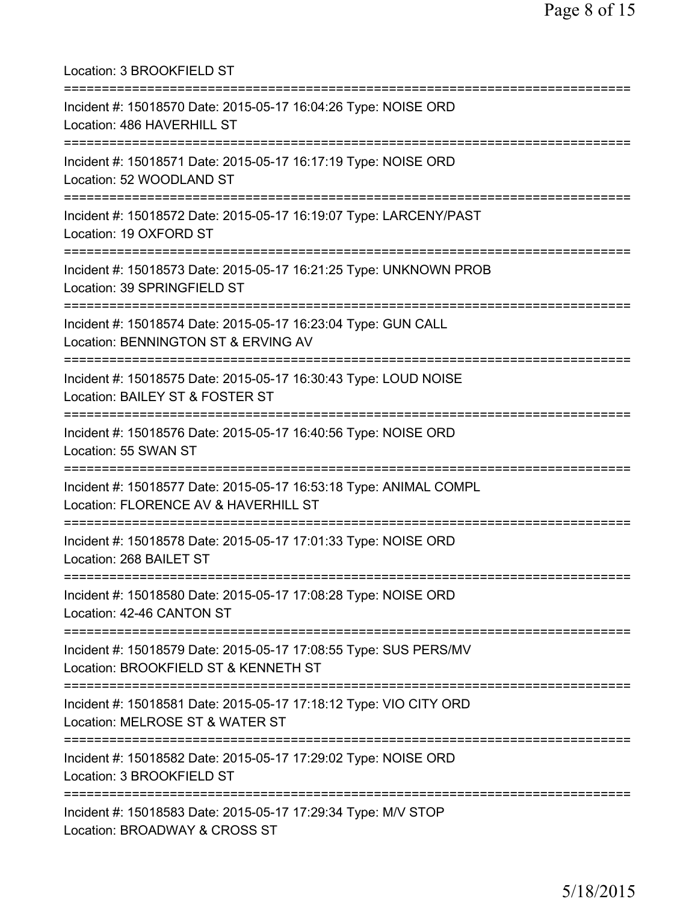Location: 3 BROOKFIELD ST =========================================================================== Incident #: 15018570 Date: 2015-05-17 16:04:26 Type: NOISE ORD Location: 486 HAVERHILL ST =========================================================================== Incident #: 15018571 Date: 2015-05-17 16:17:19 Type: NOISE ORD Location: 52 WOODLAND ST =========================================================================== Incident #: 15018572 Date: 2015-05-17 16:19:07 Type: LARCENY/PAST Location: 19 OXFORD ST =========================================================================== Incident #: 15018573 Date: 2015-05-17 16:21:25 Type: UNKNOWN PROB Location: 39 SPRINGFIELD ST =========================================================================== Incident #: 15018574 Date: 2015-05-17 16:23:04 Type: GUN CALL Location: BENNINGTON ST & ERVING AV =========================================================================== Incident #: 15018575 Date: 2015-05-17 16:30:43 Type: LOUD NOISE Location: BAILEY ST & FOSTER ST =========================================================================== Incident #: 15018576 Date: 2015-05-17 16:40:56 Type: NOISE ORD Location: 55 SWAN ST =========================================================================== Incident #: 15018577 Date: 2015-05-17 16:53:18 Type: ANIMAL COMPL Location: FLORENCE AV & HAVERHILL ST =========================================================================== Incident #: 15018578 Date: 2015-05-17 17:01:33 Type: NOISE ORD Location: 268 BAILET ST =========================================================================== Incident #: 15018580 Date: 2015-05-17 17:08:28 Type: NOISE ORD Location: 42-46 CANTON ST =========================================================================== Incident #: 15018579 Date: 2015-05-17 17:08:55 Type: SUS PERS/MV Location: BROOKFIELD ST & KENNETH ST =========================================================================== Incident #: 15018581 Date: 2015-05-17 17:18:12 Type: VIO CITY ORD Location: MELROSE ST & WATER ST =========================================================================== Incident #: 15018582 Date: 2015-05-17 17:29:02 Type: NOISE ORD Location: 3 BROOKFIELD ST =========================================================================== Incident #: 15018583 Date: 2015-05-17 17:29:34 Type: M/V STOP Location: BROADWAY & CROSS ST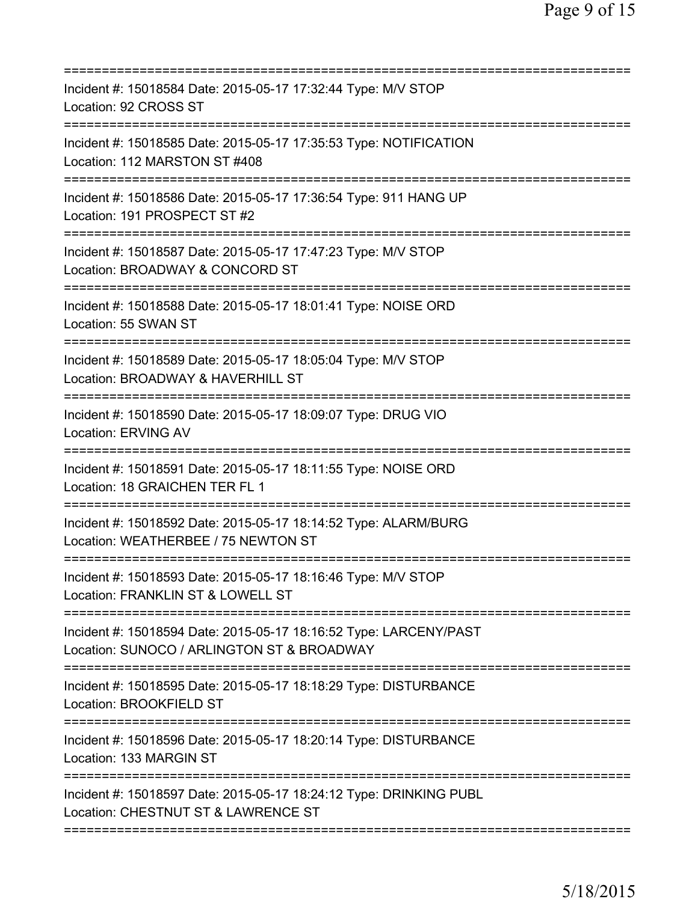| Incident #: 15018584 Date: 2015-05-17 17:32:44 Type: M/V STOP<br>Location: 92 CROSS ST                              |
|---------------------------------------------------------------------------------------------------------------------|
| Incident #: 15018585 Date: 2015-05-17 17:35:53 Type: NOTIFICATION<br>Location: 112 MARSTON ST #408                  |
| Incident #: 15018586 Date: 2015-05-17 17:36:54 Type: 911 HANG UP<br>Location: 191 PROSPECT ST #2                    |
| Incident #: 15018587 Date: 2015-05-17 17:47:23 Type: M/V STOP<br>Location: BROADWAY & CONCORD ST                    |
| Incident #: 15018588 Date: 2015-05-17 18:01:41 Type: NOISE ORD<br>Location: 55 SWAN ST                              |
| Incident #: 15018589 Date: 2015-05-17 18:05:04 Type: M/V STOP<br>Location: BROADWAY & HAVERHILL ST                  |
| Incident #: 15018590 Date: 2015-05-17 18:09:07 Type: DRUG VIO<br><b>Location: ERVING AV</b><br>==================== |
| Incident #: 15018591 Date: 2015-05-17 18:11:55 Type: NOISE ORD<br>Location: 18 GRAICHEN TER FL 1                    |
| Incident #: 15018592 Date: 2015-05-17 18:14:52 Type: ALARM/BURG<br>Location: WEATHERBEE / 75 NEWTON ST              |
| Incident #: 15018593 Date: 2015-05-17 18:16:46 Type: M/V STOP<br>Location: FRANKLIN ST & LOWELL ST                  |
| Incident #: 15018594 Date: 2015-05-17 18:16:52 Type: LARCENY/PAST<br>Location: SUNOCO / ARLINGTON ST & BROADWAY     |
| Incident #: 15018595 Date: 2015-05-17 18:18:29 Type: DISTURBANCE<br>Location: BROOKFIELD ST                         |
| Incident #: 15018596 Date: 2015-05-17 18:20:14 Type: DISTURBANCE<br>Location: 133 MARGIN ST                         |
| Incident #: 15018597 Date: 2015-05-17 18:24:12 Type: DRINKING PUBL<br>Location: CHESTNUT ST & LAWRENCE ST           |
|                                                                                                                     |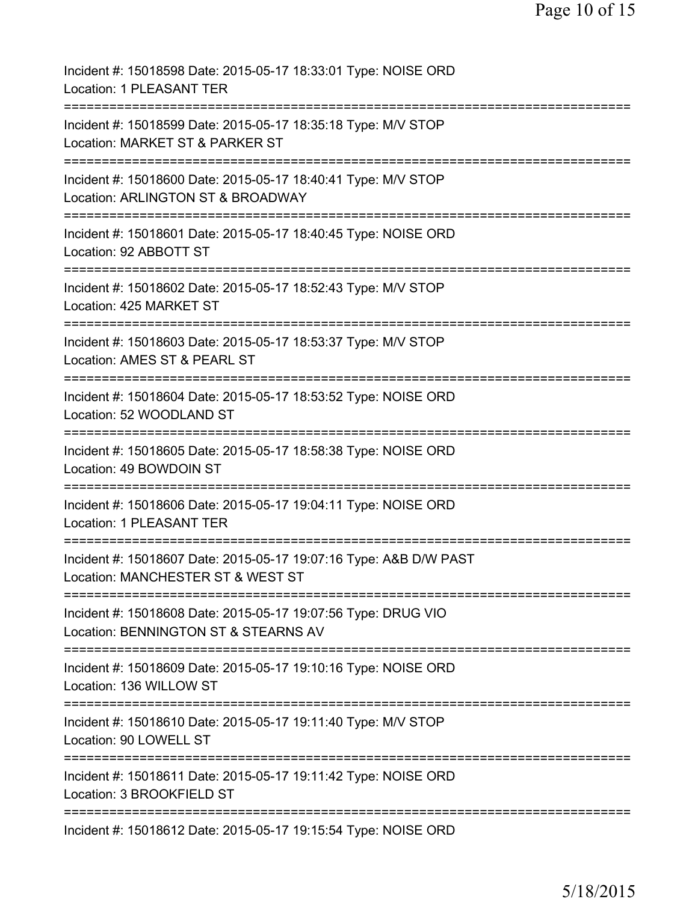| Incident #: 15018598 Date: 2015-05-17 18:33:01 Type: NOISE ORD<br>Location: 1 PLEASANT TER                  |
|-------------------------------------------------------------------------------------------------------------|
| Incident #: 15018599 Date: 2015-05-17 18:35:18 Type: M/V STOP<br>Location: MARKET ST & PARKER ST            |
| Incident #: 15018600 Date: 2015-05-17 18:40:41 Type: M/V STOP<br>Location: ARLINGTON ST & BROADWAY          |
| Incident #: 15018601 Date: 2015-05-17 18:40:45 Type: NOISE ORD<br>Location: 92 ABBOTT ST                    |
| Incident #: 15018602 Date: 2015-05-17 18:52:43 Type: M/V STOP<br>Location: 425 MARKET ST                    |
| Incident #: 15018603 Date: 2015-05-17 18:53:37 Type: M/V STOP<br>Location: AMES ST & PEARL ST               |
| Incident #: 15018604 Date: 2015-05-17 18:53:52 Type: NOISE ORD<br>Location: 52 WOODLAND ST<br>============= |
| Incident #: 15018605 Date: 2015-05-17 18:58:38 Type: NOISE ORD<br>Location: 49 BOWDOIN ST                   |
| Incident #: 15018606 Date: 2015-05-17 19:04:11 Type: NOISE ORD<br><b>Location: 1 PLEASANT TER</b>           |
| Incident #: 15018607 Date: 2015-05-17 19:07:16 Type: A&B D/W PAST<br>Location: MANCHESTER ST & WEST ST      |
| Incident #: 15018608 Date: 2015-05-17 19:07:56 Type: DRUG VIO<br>Location: BENNINGTON ST & STEARNS AV       |
| Incident #: 15018609 Date: 2015-05-17 19:10:16 Type: NOISE ORD<br>Location: 136 WILLOW ST                   |
| Incident #: 15018610 Date: 2015-05-17 19:11:40 Type: M/V STOP<br>Location: 90 LOWELL ST                     |
| Incident #: 15018611 Date: 2015-05-17 19:11:42 Type: NOISE ORD<br>Location: 3 BROOKFIELD ST                 |
| Incident #: 15018612 Date: 2015-05-17 19:15:54 Type: NOISE ORD                                              |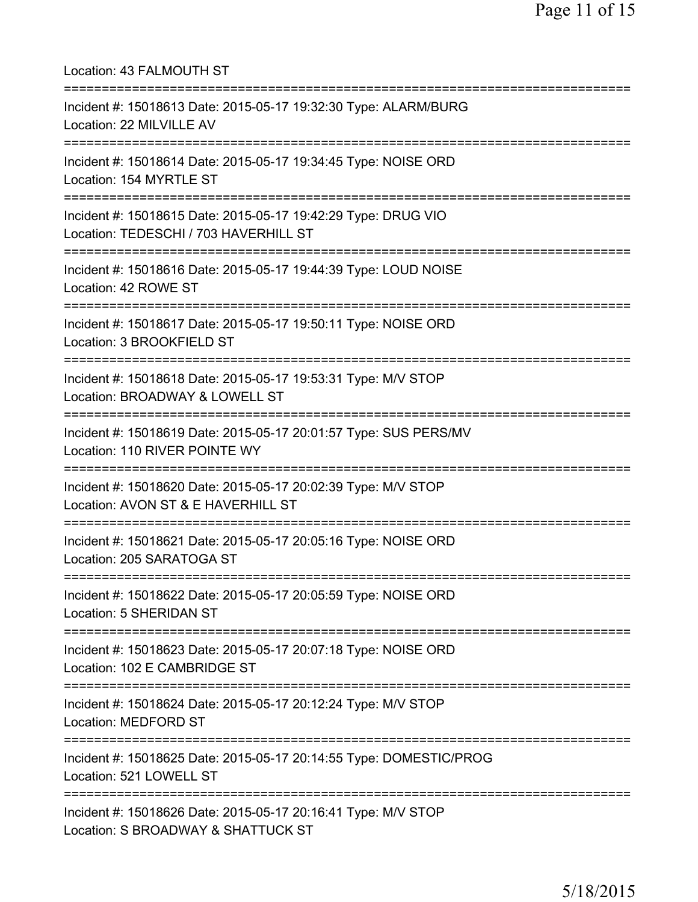| Location: 43 FALMOUTH ST<br>=====================================                                                                     |
|---------------------------------------------------------------------------------------------------------------------------------------|
| Incident #: 15018613 Date: 2015-05-17 19:32:30 Type: ALARM/BURG<br>Location: 22 MILVILLE AV<br>====================================== |
| Incident #: 15018614 Date: 2015-05-17 19:34:45 Type: NOISE ORD<br>Location: 154 MYRTLE ST                                             |
| Incident #: 15018615 Date: 2015-05-17 19:42:29 Type: DRUG VIO<br>Location: TEDESCHI / 703 HAVERHILL ST                                |
| Incident #: 15018616 Date: 2015-05-17 19:44:39 Type: LOUD NOISE<br>Location: 42 ROWE ST                                               |
| Incident #: 15018617 Date: 2015-05-17 19:50:11 Type: NOISE ORD<br>Location: 3 BROOKFIELD ST                                           |
| Incident #: 15018618 Date: 2015-05-17 19:53:31 Type: M/V STOP<br>Location: BROADWAY & LOWELL ST<br>===========================        |
| Incident #: 15018619 Date: 2015-05-17 20:01:57 Type: SUS PERS/MV<br>Location: 110 RIVER POINTE WY                                     |
| Incident #: 15018620 Date: 2015-05-17 20:02:39 Type: M/V STOP<br>Location: AVON ST & E HAVERHILL ST<br>===========================    |
| Incident #: 15018621 Date: 2015-05-17 20:05:16 Type: NOISE ORD<br>Location: 205 SARATOGA ST                                           |
| ======================================<br>Incident #: 15018622 Date: 2015-05-17 20:05:59 Type: NOISE ORD<br>Location: 5 SHERIDAN ST   |
| ==========================<br>Incident #: 15018623 Date: 2015-05-17 20:07:18 Type: NOISE ORD<br>Location: 102 E CAMBRIDGE ST          |
| Incident #: 15018624 Date: 2015-05-17 20:12:24 Type: M/V STOP<br><b>Location: MEDFORD ST</b>                                          |
| Incident #: 15018625 Date: 2015-05-17 20:14:55 Type: DOMESTIC/PROG<br>Location: 521 LOWELL ST                                         |
| Incident #: 15018626 Date: 2015-05-17 20:16:41 Type: M/V STOP<br>Location: S BROADWAY & SHATTUCK ST                                   |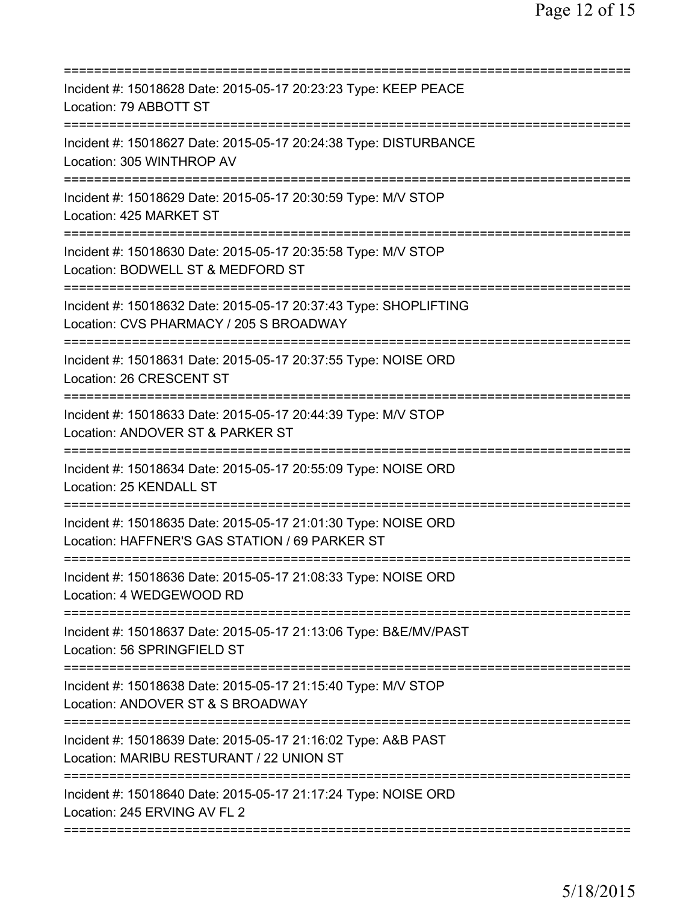| Incident #: 15018628 Date: 2015-05-17 20:23:23 Type: KEEP PEACE<br>Location: 79 ABBOTT ST                                                                            |
|----------------------------------------------------------------------------------------------------------------------------------------------------------------------|
| Incident #: 15018627 Date: 2015-05-17 20:24:38 Type: DISTURBANCE<br>Location: 305 WINTHROP AV                                                                        |
| Incident #: 15018629 Date: 2015-05-17 20:30:59 Type: M/V STOP<br>Location: 425 MARKET ST                                                                             |
| Incident #: 15018630 Date: 2015-05-17 20:35:58 Type: M/V STOP<br>Location: BODWELL ST & MEDFORD ST                                                                   |
| Incident #: 15018632 Date: 2015-05-17 20:37:43 Type: SHOPLIFTING<br>Location: CVS PHARMACY / 205 S BROADWAY                                                          |
| ===================================<br>Incident #: 15018631 Date: 2015-05-17 20:37:55 Type: NOISE ORD<br>Location: 26 CRESCENT ST<br>=============================== |
| Incident #: 15018633 Date: 2015-05-17 20:44:39 Type: M/V STOP<br>Location: ANDOVER ST & PARKER ST                                                                    |
| Incident #: 15018634 Date: 2015-05-17 20:55:09 Type: NOISE ORD<br>Location: 25 KENDALL ST                                                                            |
| Incident #: 15018635 Date: 2015-05-17 21:01:30 Type: NOISE ORD<br>Location: HAFFNER'S GAS STATION / 69 PARKER ST                                                     |
| Incident #: 15018636 Date: 2015-05-17 21:08:33 Type: NOISE ORD<br>Location: 4 WEDGEWOOD RD                                                                           |
| Incident #: 15018637 Date: 2015-05-17 21:13:06 Type: B&E/MV/PAST<br>Location: 56 SPRINGFIELD ST                                                                      |
| Incident #: 15018638 Date: 2015-05-17 21:15:40 Type: M/V STOP<br>Location: ANDOVER ST & S BROADWAY                                                                   |
| Incident #: 15018639 Date: 2015-05-17 21:16:02 Type: A&B PAST<br>Location: MARIBU RESTURANT / 22 UNION ST                                                            |
| Incident #: 15018640 Date: 2015-05-17 21:17:24 Type: NOISE ORD<br>Location: 245 ERVING AV FL 2                                                                       |
|                                                                                                                                                                      |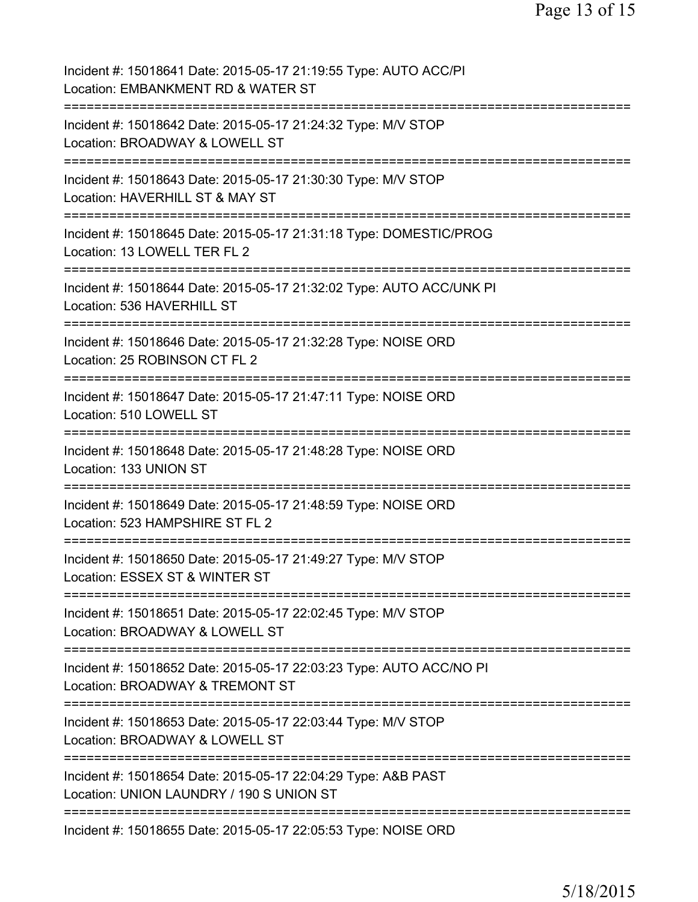| Incident #: 15018641 Date: 2015-05-17 21:19:55 Type: AUTO ACC/PI<br>Location: EMBANKMENT RD & WATER ST                         |
|--------------------------------------------------------------------------------------------------------------------------------|
| Incident #: 15018642 Date: 2015-05-17 21:24:32 Type: M/V STOP<br>Location: BROADWAY & LOWELL ST                                |
| Incident #: 15018643 Date: 2015-05-17 21:30:30 Type: M/V STOP<br>Location: HAVERHILL ST & MAY ST                               |
| Incident #: 15018645 Date: 2015-05-17 21:31:18 Type: DOMESTIC/PROG<br>Location: 13 LOWELL TER FL 2                             |
| Incident #: 15018644 Date: 2015-05-17 21:32:02 Type: AUTO ACC/UNK PI<br>Location: 536 HAVERHILL ST                             |
| Incident #: 15018646 Date: 2015-05-17 21:32:28 Type: NOISE ORD<br>Location: 25 ROBINSON CT FL 2                                |
| Incident #: 15018647 Date: 2015-05-17 21:47:11 Type: NOISE ORD<br>Location: 510 LOWELL ST                                      |
| :=================================<br>Incident #: 15018648 Date: 2015-05-17 21:48:28 Type: NOISE ORD<br>Location: 133 UNION ST |
| :=====================<br>Incident #: 15018649 Date: 2015-05-17 21:48:59 Type: NOISE ORD<br>Location: 523 HAMPSHIRE ST FL 2    |
| Incident #: 15018650 Date: 2015-05-17 21:49:27 Type: M/V STOP<br>Location: ESSEX ST & WINTER ST                                |
| Incident #: 15018651 Date: 2015-05-17 22:02:45 Type: M/V STOP<br>Location: BROADWAY & LOWELL ST                                |
| Incident #: 15018652 Date: 2015-05-17 22:03:23 Type: AUTO ACC/NO PI<br>Location: BROADWAY & TREMONT ST                         |
| Incident #: 15018653 Date: 2015-05-17 22:03:44 Type: M/V STOP<br>Location: BROADWAY & LOWELL ST                                |
| Incident #: 15018654 Date: 2015-05-17 22:04:29 Type: A&B PAST<br>Location: UNION LAUNDRY / 190 S UNION ST                      |
| Incident #: 15018655 Date: 2015-05-17 22:05:53 Type: NOISE ORD                                                                 |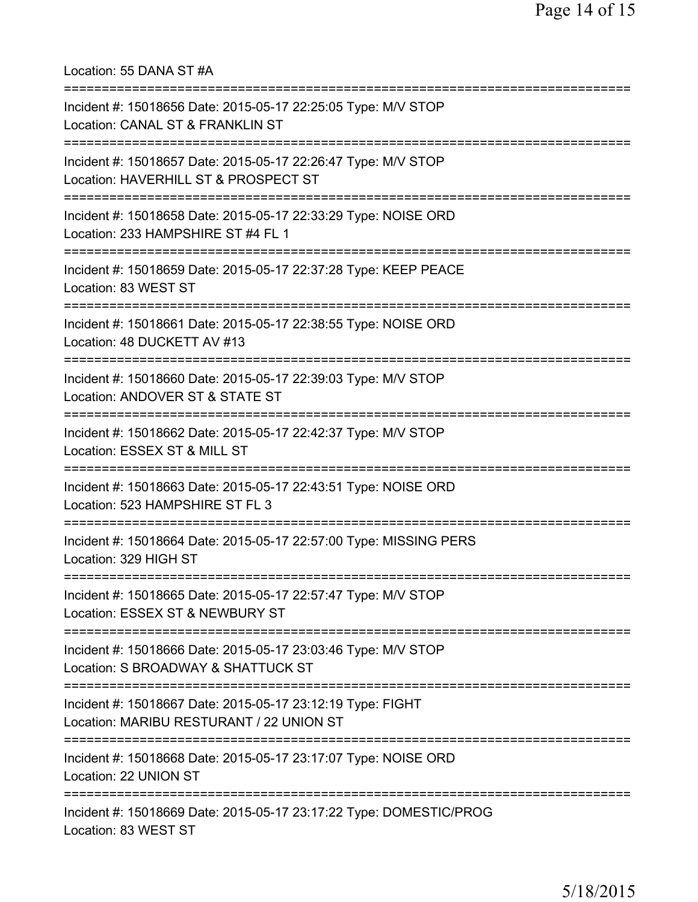Location: 55 DANA ST #A =========================================================================== Incident #: 15018656 Date: 2015-05-17 22:25:05 Type: M/V STOP Location: CANAL ST & FRANKLIN ST =========================================================================== Incident #: 15018657 Date: 2015-05-17 22:26:47 Type: M/V STOP Location: HAVERHILL ST & PROSPECT ST =========================================================================== Incident #: 15018658 Date: 2015-05-17 22:33:29 Type: NOISE ORD Location: 233 HAMPSHIRE ST #4 FL 1 =========================================================================== Incident #: 15018659 Date: 2015-05-17 22:37:28 Type: KEEP PEACE Location: 83 WEST ST =========================================================================== Incident #: 15018661 Date: 2015-05-17 22:38:55 Type: NOISE ORD Location: 48 DUCKETT AV #13 =========================================================================== Incident #: 15018660 Date: 2015-05-17 22:39:03 Type: M/V STOP Location: ANDOVER ST & STATE ST =========================================================================== Incident #: 15018662 Date: 2015-05-17 22:42:37 Type: M/V STOP Location: ESSEX ST & MILL ST =========================================================================== Incident #: 15018663 Date: 2015-05-17 22:43:51 Type: NOISE ORD Location: 523 HAMPSHIRE ST FL 3 =========================================================================== Incident #: 15018664 Date: 2015-05-17 22:57:00 Type: MISSING PERS Location: 329 HIGH ST =========================================================================== Incident #: 15018665 Date: 2015-05-17 22:57:47 Type: M/V STOP Location: ESSEX ST & NEWBURY ST =========================================================================== Incident #: 15018666 Date: 2015-05-17 23:03:46 Type: M/V STOP Location: S BROADWAY & SHATTUCK ST =========================================================================== Incident #: 15018667 Date: 2015-05-17 23:12:19 Type: FIGHT Location: MARIBU RESTURANT / 22 UNION ST =========================================================================== Incident #: 15018668 Date: 2015-05-17 23:17:07 Type: NOISE ORD Location: 22 UNION ST =========================================================================== Incident #: 15018669 Date: 2015-05-17 23:17:22 Type: DOMESTIC/PROG Location: 83 WEST ST